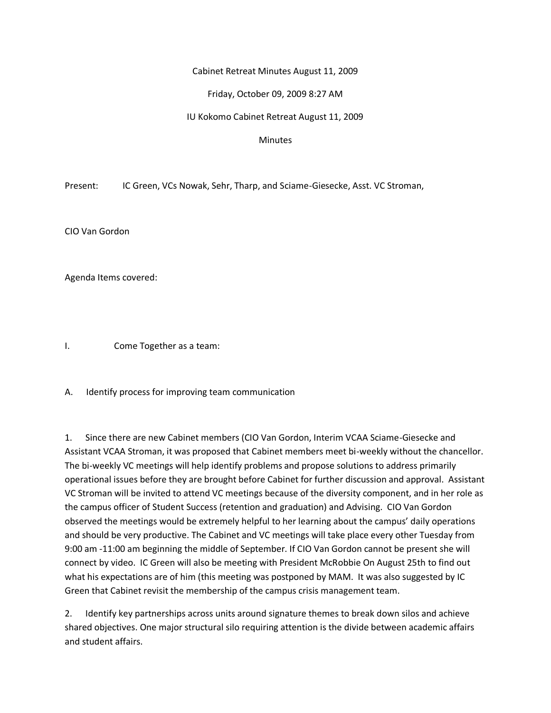## Cabinet Retreat Minutes August 11, 2009

## Friday, October 09, 2009 8:27 AM

IU Kokomo Cabinet Retreat August 11, 2009

#### **Minutes**

Present: IC Green, VCs Nowak, Sehr, Tharp, and Sciame-Giesecke, Asst. VC Stroman,

CIO Van Gordon

Agenda Items covered:

I. Come Together as a team:

A. Identify process for improving team communication

1. Since there are new Cabinet members (CIO Van Gordon, Interim VCAA Sciame-Giesecke and Assistant VCAA Stroman, it was proposed that Cabinet members meet bi-weekly without the chancellor. The bi-weekly VC meetings will help identify problems and propose solutions to address primarily operational issues before they are brought before Cabinet for further discussion and approval. Assistant VC Stroman will be invited to attend VC meetings because of the diversity component, and in her role as the campus officer of Student Success (retention and graduation) and Advising. CIO Van Gordon observed the meetings would be extremely helpful to her learning about the campus' daily operations and should be very productive. The Cabinet and VC meetings will take place every other Tuesday from 9:00 am -11:00 am beginning the middle of September. If CIO Van Gordon cannot be present she will connect by video. IC Green will also be meeting with President McRobbie On August 25th to find out what his expectations are of him (this meeting was postponed by MAM. It was also suggested by IC Green that Cabinet revisit the membership of the campus crisis management team.

2. Identify key partnerships across units around signature themes to break down silos and achieve shared objectives. One major structural silo requiring attention is the divide between academic affairs and student affairs.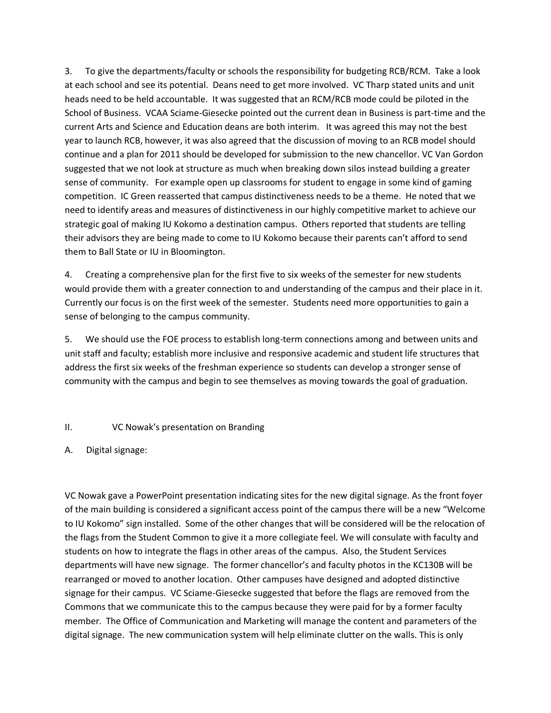3. To give the departments/faculty or schools the responsibility for budgeting RCB/RCM. Take a look at each school and see its potential. Deans need to get more involved. VC Tharp stated units and unit heads need to be held accountable. It was suggested that an RCM/RCB mode could be piloted in the School of Business. VCAA Sciame-Giesecke pointed out the current dean in Business is part-time and the current Arts and Science and Education deans are both interim. It was agreed this may not the best year to launch RCB, however, it was also agreed that the discussion of moving to an RCB model should continue and a plan for 2011 should be developed for submission to the new chancellor. VC Van Gordon suggested that we not look at structure as much when breaking down silos instead building a greater sense of community. For example open up classrooms for student to engage in some kind of gaming competition. IC Green reasserted that campus distinctiveness needs to be a theme. He noted that we need to identify areas and measures of distinctiveness in our highly competitive market to achieve our strategic goal of making IU Kokomo a destination campus. Others reported that students are telling their advisors they are being made to come to IU Kokomo because their parents can't afford to send them to Ball State or IU in Bloomington.

4. Creating a comprehensive plan for the first five to six weeks of the semester for new students would provide them with a greater connection to and understanding of the campus and their place in it. Currently our focus is on the first week of the semester. Students need more opportunities to gain a sense of belonging to the campus community.

5. We should use the FOE process to establish long-term connections among and between units and unit staff and faculty; establish more inclusive and responsive academic and student life structures that address the first six weeks of the freshman experience so students can develop a stronger sense of community with the campus and begin to see themselves as moving towards the goal of graduation.

## II. VC Nowak's presentation on Branding

# A. Digital signage:

VC Nowak gave a PowerPoint presentation indicating sites for the new digital signage. As the front foyer of the main building is considered a significant access point of the campus there will be a new "Welcome to IU Kokomo" sign installed. Some of the other changes that will be considered will be the relocation of the flags from the Student Common to give it a more collegiate feel. We will consulate with faculty and students on how to integrate the flags in other areas of the campus. Also, the Student Services departments will have new signage. The former chancellor's and faculty photos in the KC130B will be rearranged or moved to another location. Other campuses have designed and adopted distinctive signage for their campus. VC Sciame-Giesecke suggested that before the flags are removed from the Commons that we communicate this to the campus because they were paid for by a former faculty member. The Office of Communication and Marketing will manage the content and parameters of the digital signage. The new communication system will help eliminate clutter on the walls. This is only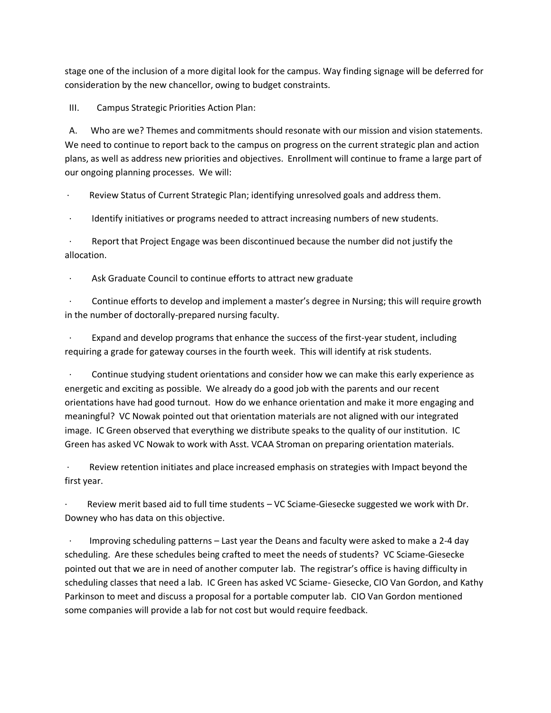stage one of the inclusion of a more digital look for the campus. Way finding signage will be deferred for consideration by the new chancellor, owing to budget constraints.

III. Campus Strategic Priorities Action Plan:

 A. Who are we? Themes and commitments should resonate with our mission and vision statements. We need to continue to report back to the campus on progress on the current strategic plan and action plans, as well as address new priorities and objectives. Enrollment will continue to frame a large part of our ongoing planning processes. We will:

· Review Status of Current Strategic Plan; identifying unresolved goals and address them.

Identify initiatives or programs needed to attract increasing numbers of new students.

Report that Project Engage was been discontinued because the number did not justify the allocation.

Ask Graduate Council to continue efforts to attract new graduate

 · Continue efforts to develop and implement a master's degree in Nursing; this will require growth in the number of doctorally-prepared nursing faculty.

Expand and develop programs that enhance the success of the first-year student, including requiring a grade for gateway courses in the fourth week. This will identify at risk students.

 · Continue studying student orientations and consider how we can make this early experience as energetic and exciting as possible. We already do a good job with the parents and our recent orientations have had good turnout. How do we enhance orientation and make it more engaging and meaningful? VC Nowak pointed out that orientation materials are not aligned with our integrated image. IC Green observed that everything we distribute speaks to the quality of our institution. IC Green has asked VC Nowak to work with Asst. VCAA Stroman on preparing orientation materials.

Review retention initiates and place increased emphasis on strategies with Impact beyond the first year.

Review merit based aid to full time students – VC Sciame-Giesecke suggested we work with Dr. Downey who has data on this objective.

Improving scheduling patterns – Last year the Deans and faculty were asked to make a 2-4 day scheduling. Are these schedules being crafted to meet the needs of students? VC Sciame-Giesecke pointed out that we are in need of another computer lab. The registrar's office is having difficulty in scheduling classes that need a lab. IC Green has asked VC Sciame- Giesecke, CIO Van Gordon, and Kathy Parkinson to meet and discuss a proposal for a portable computer lab. CIO Van Gordon mentioned some companies will provide a lab for not cost but would require feedback.